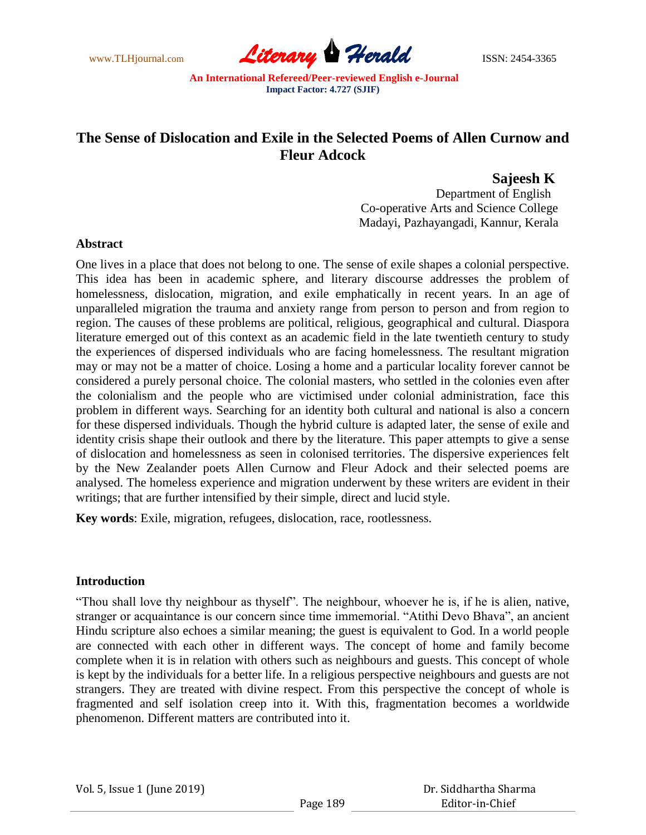

# **The Sense of Dislocation and Exile in the Selected Poems of Allen Curnow and Fleur Adcock**

# **Sajeesh K**

Department of English Co-operative Arts and Science College Madayi, Pazhayangadi, Kannur, Kerala

## **Abstract**

One lives in a place that does not belong to one. The sense of exile shapes a colonial perspective. This idea has been in academic sphere, and literary discourse addresses the problem of homelessness, dislocation, migration, and exile emphatically in recent years. In an age of unparalleled migration the trauma and anxiety range from person to person and from region to region. The causes of these problems are political, religious, geographical and cultural. Diaspora literature emerged out of this context as an academic field in the late twentieth century to study the experiences of dispersed individuals who are facing homelessness. The resultant migration may or may not be a matter of choice. Losing a home and a particular locality forever cannot be considered a purely personal choice. The colonial masters, who settled in the colonies even after the colonialism and the people who are victimised under colonial administration, face this problem in different ways. Searching for an identity both cultural and national is also a concern for these dispersed individuals. Though the hybrid culture is adapted later, the sense of exile and identity crisis shape their outlook and there by the literature. This paper attempts to give a sense of dislocation and homelessness as seen in colonised territories. The dispersive experiences felt by the New Zealander poets Allen Curnow and Fleur Adock and their selected poems are analysed. The homeless experience and migration underwent by these writers are evident in their writings; that are further intensified by their simple, direct and lucid style.

**Key words**: Exile, migration, refugees, dislocation, race, rootlessness.

## **Introduction**

"Thou shall love thy neighbour as thyself". The neighbour, whoever he is, if he is alien, native, stranger or acquaintance is our concern since time immemorial. "Atithi Devo Bhava", an ancient Hindu scripture also echoes a similar meaning; the guest is equivalent to God. In a world people are connected with each other in different ways. The concept of home and family become complete when it is in relation with others such as neighbours and guests. This concept of whole is kept by the individuals for a better life. In a religious perspective neighbours and guests are not strangers. They are treated with divine respect. From this perspective the concept of whole is fragmented and self isolation creep into it. With this, fragmentation becomes a worldwide phenomenon. Different matters are contributed into it.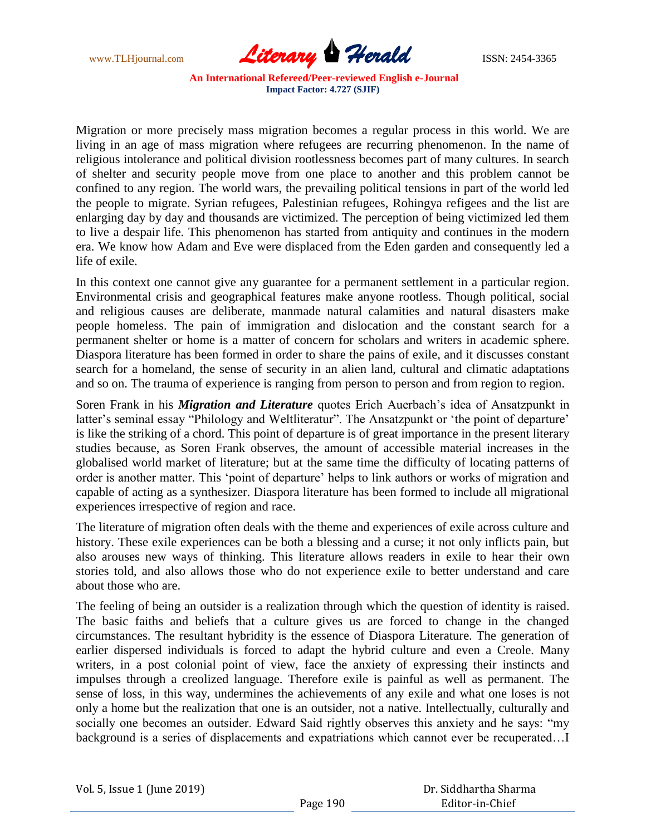

Migration or more precisely mass migration becomes a regular process in this world. We are living in an age of mass migration where refugees are recurring phenomenon. In the name of religious intolerance and political division rootlessness becomes part of many cultures. In search of shelter and security people move from one place to another and this problem cannot be confined to any region. The world wars, the prevailing political tensions in part of the world led the people to migrate. Syrian refugees, Palestinian refugees, Rohingya refigees and the list are enlarging day by day and thousands are victimized. The perception of being victimized led them to live a despair life. This phenomenon has started from antiquity and continues in the modern era. We know how Adam and Eve were displaced from the Eden garden and consequently led a life of exile.

In this context one cannot give any guarantee for a permanent settlement in a particular region. Environmental crisis and geographical features make anyone rootless. Though political, social and religious causes are deliberate, manmade natural calamities and natural disasters make people homeless. The pain of immigration and dislocation and the constant search for a permanent shelter or home is a matter of concern for scholars and writers in academic sphere. Diaspora literature has been formed in order to share the pains of exile, and it discusses constant search for a homeland, the sense of security in an alien land, cultural and climatic adaptations and so on. The trauma of experience is ranging from person to person and from region to region.

Soren Frank in his *Migration and Literature* quotes Erich Auerbach's idea of Ansatzpunkt in latter's seminal essay "Philology and Weltliteratur". The Ansatzpunkt or 'the point of departure' is like the striking of a chord. This point of departure is of great importance in the present literary studies because, as Soren Frank observes, the amount of accessible material increases in the globalised world market of literature; but at the same time the difficulty of locating patterns of order is another matter. This 'point of departure' helps to link authors or works of migration and capable of acting as a synthesizer. Diaspora literature has been formed to include all migrational experiences irrespective of region and race.

The literature of migration often deals with the theme and experiences of exile across culture and history. These exile experiences can be both a blessing and a curse; it not only inflicts pain, but also arouses new ways of thinking. This literature allows readers in exile to hear their own stories told, and also allows those who do not experience exile to better understand and care about those who are.

The feeling of being an outsider is a realization through which the question of identity is raised. The basic faiths and beliefs that a culture gives us are forced to change in the changed circumstances. The resultant hybridity is the essence of Diaspora Literature. The generation of earlier dispersed individuals is forced to adapt the hybrid culture and even a Creole. Many writers, in a post colonial point of view, face the anxiety of expressing their instincts and impulses through a creolized language. Therefore exile is painful as well as permanent. The sense of loss, in this way, undermines the achievements of any exile and what one loses is not only a home but the realization that one is an outsider, not a native. Intellectually, culturally and socially one becomes an outsider. Edward Said rightly observes this anxiety and he says: "my background is a series of displacements and expatriations which cannot ever be recuperated…I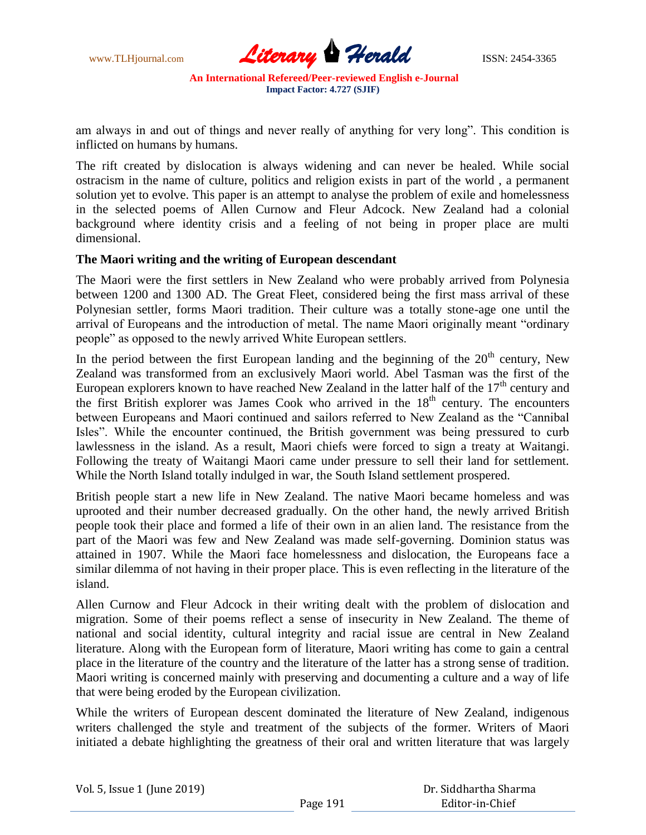

am always in and out of things and never really of anything for very long". This condition is inflicted on humans by humans.

The rift created by dislocation is always widening and can never be healed. While social ostracism in the name of culture, politics and religion exists in part of the world , a permanent solution yet to evolve. This paper is an attempt to analyse the problem of exile and homelessness in the selected poems of Allen Curnow and Fleur Adcock. New Zealand had a colonial background where identity crisis and a feeling of not being in proper place are multi dimensional.

#### **The Maori writing and the writing of European descendant**

The Maori were the first settlers in New Zealand who were probably arrived from Polynesia between 1200 and 1300 AD. The Great Fleet, considered being the first mass arrival of these Polynesian settler, forms Maori tradition. Their culture was a totally stone-age one until the arrival of Europeans and the introduction of metal. The name Maori originally meant "ordinary people" as opposed to the newly arrived White European settlers.

In the period between the first European landing and the beginning of the  $20<sup>th</sup>$  century, New Zealand was transformed from an exclusively Maori world. Abel Tasman was the first of the European explorers known to have reached New Zealand in the latter half of the  $17<sup>th</sup>$  century and the first British explorer was James Cook who arrived in the  $18<sup>th</sup>$  century. The encounters between Europeans and Maori continued and sailors referred to New Zealand as the "Cannibal Isles". While the encounter continued, the British government was being pressured to curb lawlessness in the island. As a result, Maori chiefs were forced to sign a treaty at Waitangi. Following the treaty of Waitangi Maori came under pressure to sell their land for settlement. While the North Island totally indulged in war, the South Island settlement prospered.

British people start a new life in New Zealand. The native Maori became homeless and was uprooted and their number decreased gradually. On the other hand, the newly arrived British people took their place and formed a life of their own in an alien land. The resistance from the part of the Maori was few and New Zealand was made self-governing. Dominion status was attained in 1907. While the Maori face homelessness and dislocation, the Europeans face a similar dilemma of not having in their proper place. This is even reflecting in the literature of the island.

Allen Curnow and Fleur Adcock in their writing dealt with the problem of dislocation and migration. Some of their poems reflect a sense of insecurity in New Zealand. The theme of national and social identity, cultural integrity and racial issue are central in New Zealand literature. Along with the European form of literature, Maori writing has come to gain a central place in the literature of the country and the literature of the latter has a strong sense of tradition. Maori writing is concerned mainly with preserving and documenting a culture and a way of life that were being eroded by the European civilization.

While the writers of European descent dominated the literature of New Zealand, indigenous writers challenged the style and treatment of the subjects of the former. Writers of Maori initiated a debate highlighting the greatness of their oral and written literature that was largely

| Vol. 5, Issue 1 (June 2019) |  |  |  |
|-----------------------------|--|--|--|
|-----------------------------|--|--|--|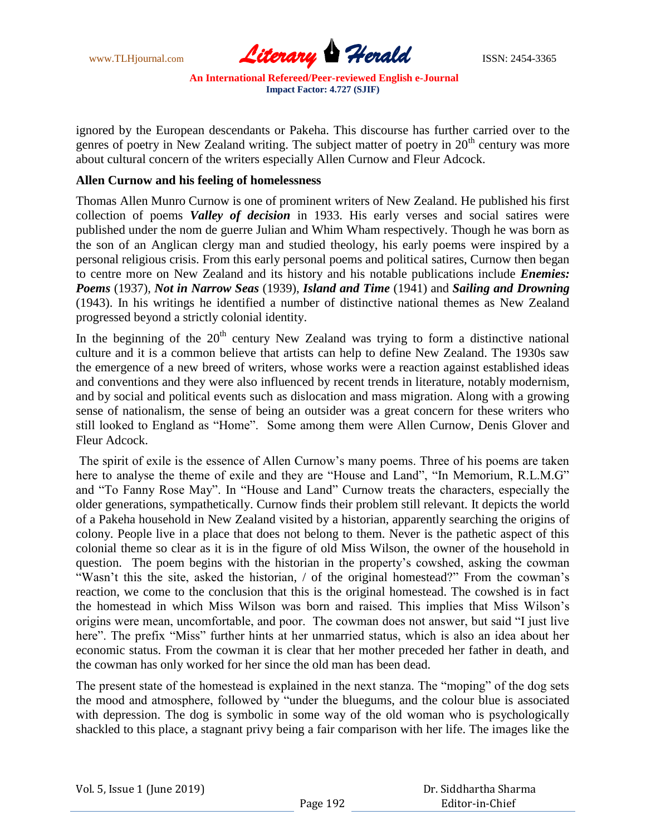

ignored by the European descendants or Pakeha. This discourse has further carried over to the genres of poetry in New Zealand writing. The subject matter of poetry in  $20<sup>th</sup>$  century was more about cultural concern of the writers especially Allen Curnow and Fleur Adcock.

#### **Allen Curnow and his feeling of homelessness**

Thomas Allen Munro Curnow is one of prominent writers of New Zealand. He published his first collection of poems *Valley of decision* in 1933. His early verses and social satires were published under the nom de guerre Julian and Whim Wham respectively. Though he was born as the son of an Anglican clergy man and studied theology, his early poems were inspired by a personal religious crisis. From this early personal poems and political satires, Curnow then began to centre more on New Zealand and its history and his notable publications include *Enemies: Poems* (1937), *Not in Narrow Seas* (1939), *Island and Time* (1941) and *Sailing and Drowning* (1943). In his writings he identified a number of distinctive national themes as New Zealand progressed beyond a strictly colonial identity.

In the beginning of the  $20<sup>th</sup>$  century New Zealand was trying to form a distinctive national culture and it is a common believe that artists can help to define New Zealand. The 1930s saw the emergence of a new breed of writers, whose works were a reaction against established ideas and conventions and they were also influenced by recent trends in literature, notably modernism, and by social and political events such as dislocation and mass migration. Along with a growing sense of nationalism, the sense of being an outsider was a great concern for these writers who still looked to England as "Home". Some among them were Allen Curnow, Denis Glover and Fleur Adcock.

The spirit of exile is the essence of Allen Curnow"s many poems. Three of his poems are taken here to analyse the theme of exile and they are "House and Land", "In Memorium, R.L.M.G" and "To Fanny Rose May". In "House and Land" Curnow treats the characters, especially the older generations, sympathetically. Curnow finds their problem still relevant. It depicts the world of a Pakeha household in New Zealand visited by a historian, apparently searching the origins of colony. People live in a place that does not belong to them. Never is the pathetic aspect of this colonial theme so clear as it is in the figure of old Miss Wilson, the owner of the household in question. The poem begins with the historian in the property"s cowshed, asking the cowman "Wasn't this the site, asked the historian, / of the original homestead?" From the cowman's reaction, we come to the conclusion that this is the original homestead. The cowshed is in fact the homestead in which Miss Wilson was born and raised. This implies that Miss Wilson"s origins were mean, uncomfortable, and poor. The cowman does not answer, but said "I just live here". The prefix "Miss" further hints at her unmarried status, which is also an idea about her economic status. From the cowman it is clear that her mother preceded her father in death, and the cowman has only worked for her since the old man has been dead.

The present state of the homestead is explained in the next stanza. The "moping" of the dog sets the mood and atmosphere, followed by "under the bluegums, and the colour blue is associated with depression. The dog is symbolic in some way of the old woman who is psychologically shackled to this place, a stagnant privy being a fair comparison with her life. The images like the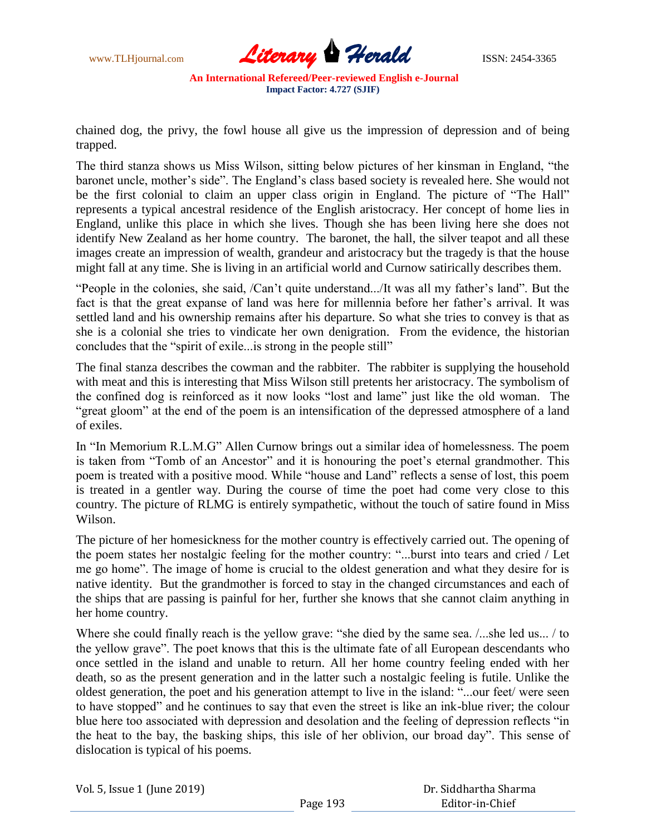

chained dog, the privy, the fowl house all give us the impression of depression and of being trapped.

The third stanza shows us Miss Wilson, sitting below pictures of her kinsman in England, "the baronet uncle, mother"s side". The England"s class based society is revealed here. She would not be the first colonial to claim an upper class origin in England. The picture of "The Hall" represents a typical ancestral residence of the English aristocracy. Her concept of home lies in England, unlike this place in which she lives. Though she has been living here she does not identify New Zealand as her home country. The baronet, the hall, the silver teapot and all these images create an impression of wealth, grandeur and aristocracy but the tragedy is that the house might fall at any time. She is living in an artificial world and Curnow satirically describes them.

"People in the colonies, she said, /Can"t quite understand.../It was all my father"s land". But the fact is that the great expanse of land was here for millennia before her father's arrival. It was settled land and his ownership remains after his departure. So what she tries to convey is that as she is a colonial she tries to vindicate her own denigration. From the evidence, the historian concludes that the "spirit of exile...is strong in the people still"

The final stanza describes the cowman and the rabbiter. The rabbiter is supplying the household with meat and this is interesting that Miss Wilson still pretents her aristocracy. The symbolism of the confined dog is reinforced as it now looks "lost and lame" just like the old woman. The "great gloom" at the end of the poem is an intensification of the depressed atmosphere of a land of exiles.

In "In Memorium R.L.M.G" Allen Curnow brings out a similar idea of homelessness. The poem is taken from "Tomb of an Ancestor" and it is honouring the poet's eternal grandmother. This poem is treated with a positive mood. While "house and Land" reflects a sense of lost, this poem is treated in a gentler way. During the course of time the poet had come very close to this country. The picture of RLMG is entirely sympathetic, without the touch of satire found in Miss Wilson.

The picture of her homesickness for the mother country is effectively carried out. The opening of the poem states her nostalgic feeling for the mother country: "...burst into tears and cried / Let me go home". The image of home is crucial to the oldest generation and what they desire for is native identity. But the grandmother is forced to stay in the changed circumstances and each of the ships that are passing is painful for her, further she knows that she cannot claim anything in her home country.

Where she could finally reach is the yellow grave: "she died by the same sea.  $/$ ...she led us...  $/$  to the yellow grave". The poet knows that this is the ultimate fate of all European descendants who once settled in the island and unable to return. All her home country feeling ended with her death, so as the present generation and in the latter such a nostalgic feeling is futile. Unlike the oldest generation, the poet and his generation attempt to live in the island: "...our feet/ were seen to have stopped" and he continues to say that even the street is like an ink-blue river; the colour blue here too associated with depression and desolation and the feeling of depression reflects "in the heat to the bay, the basking ships, this isle of her oblivion, our broad day". This sense of dislocation is typical of his poems.

Vol. 5, Issue 1 (June 2019)

 Dr. Siddhartha Sharma Editor-in-Chief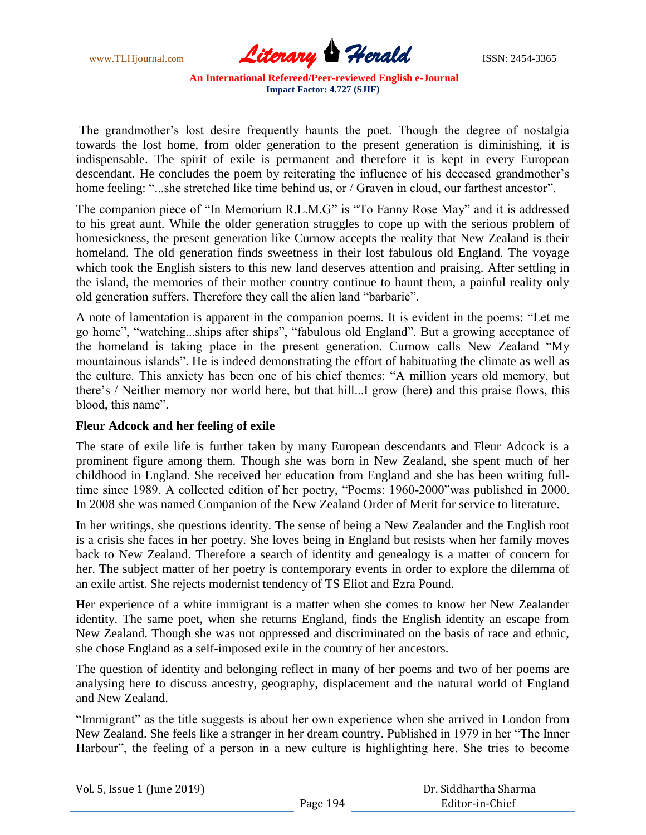www.TLHjournal.com **Literary Herald ISSN: 2454-3365** 

The grandmother's lost desire frequently haunts the poet. Though the degree of nostalgia towards the lost home, from older generation to the present generation is diminishing, it is indispensable. The spirit of exile is permanent and therefore it is kept in every European descendant. He concludes the poem by reiterating the influence of his deceased grandmother's home feeling: "...she stretched like time behind us, or / Graven in cloud, our farthest ancestor".

The companion piece of "In Memorium R.L.M.G" is "To Fanny Rose May" and it is addressed to his great aunt. While the older generation struggles to cope up with the serious problem of homesickness, the present generation like Curnow accepts the reality that New Zealand is their homeland. The old generation finds sweetness in their lost fabulous old England. The voyage which took the English sisters to this new land deserves attention and praising. After settling in the island, the memories of their mother country continue to haunt them, a painful reality only old generation suffers. Therefore they call the alien land "barbaric".

A note of lamentation is apparent in the companion poems. It is evident in the poems: "Let me go home", "watching...ships after ships", "fabulous old England". But a growing acceptance of the homeland is taking place in the present generation. Curnow calls New Zealand "My mountainous islands". He is indeed demonstrating the effort of habituating the climate as well as the culture. This anxiety has been one of his chief themes: "A million years old memory, but there"s / Neither memory nor world here, but that hill...I grow (here) and this praise flows, this blood, this name".

## **Fleur Adcock and her feeling of exile**

The state of exile life is further taken by many European descendants and Fleur Adcock is a prominent figure among them. Though she was born in New Zealand, she spent much of her childhood in England. She received her education from England and she has been writing fulltime since 1989. A collected edition of her poetry, "Poems: 1960-2000"was published in 2000. In 2008 she was named Companion of the New Zealand Order of Merit for service to literature.

In her writings, she questions identity. The sense of being a New Zealander and the English root is a crisis she faces in her poetry. She loves being in England but resists when her family moves back to New Zealand. Therefore a search of identity and genealogy is a matter of concern for her. The subject matter of her poetry is contemporary events in order to explore the dilemma of an exile artist. She rejects modernist tendency of TS Eliot and Ezra Pound.

Her experience of a white immigrant is a matter when she comes to know her New Zealander identity. The same poet, when she returns England, finds the English identity an escape from New Zealand. Though she was not oppressed and discriminated on the basis of race and ethnic, she chose England as a self-imposed exile in the country of her ancestors.

The question of identity and belonging reflect in many of her poems and two of her poems are analysing here to discuss ancestry, geography, displacement and the natural world of England and New Zealand.

"Immigrant" as the title suggests is about her own experience when she arrived in London from New Zealand. She feels like a stranger in her dream country. Published in 1979 in her "The Inner Harbour", the feeling of a person in a new culture is highlighting here. She tries to become

| Vol. 5, Issue 1 (June 2019) |          | Dr. Siddhartha Sharma |
|-----------------------------|----------|-----------------------|
|                             | Page 194 | Editor-in-Chief       |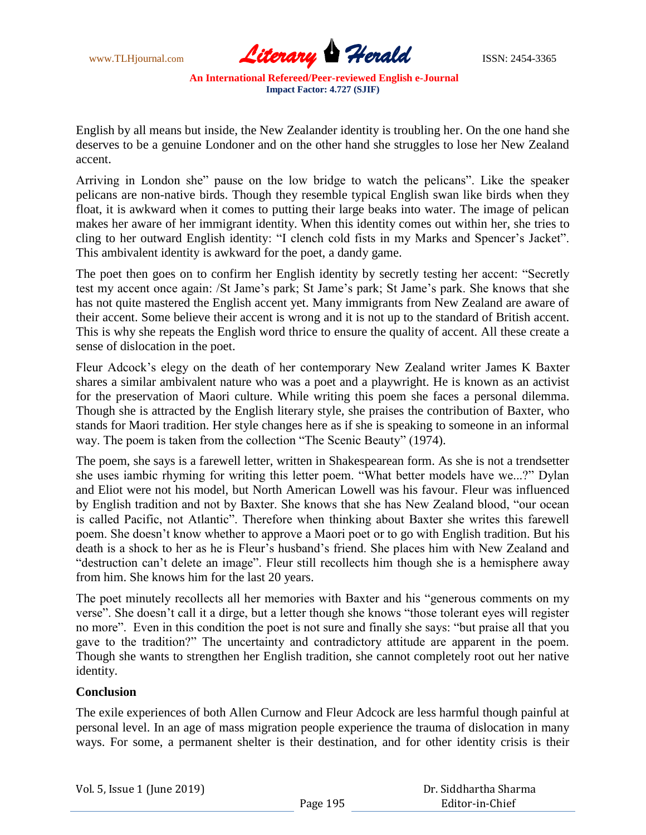

English by all means but inside, the New Zealander identity is troubling her. On the one hand she deserves to be a genuine Londoner and on the other hand she struggles to lose her New Zealand accent.

Arriving in London she" pause on the low bridge to watch the pelicans". Like the speaker pelicans are non-native birds. Though they resemble typical English swan like birds when they float, it is awkward when it comes to putting their large beaks into water. The image of pelican makes her aware of her immigrant identity. When this identity comes out within her, she tries to cling to her outward English identity: "I clench cold fists in my Marks and Spencer's Jacket". This ambivalent identity is awkward for the poet, a dandy game.

The poet then goes on to confirm her English identity by secretly testing her accent: "Secretly test my accent once again: /St Jame's park; St Jame's park; St Jame's park. She knows that she has not quite mastered the English accent yet. Many immigrants from New Zealand are aware of their accent. Some believe their accent is wrong and it is not up to the standard of British accent. This is why she repeats the English word thrice to ensure the quality of accent. All these create a sense of dislocation in the poet.

Fleur Adcock"s elegy on the death of her contemporary New Zealand writer James K Baxter shares a similar ambivalent nature who was a poet and a playwright. He is known as an activist for the preservation of Maori culture. While writing this poem she faces a personal dilemma. Though she is attracted by the English literary style, she praises the contribution of Baxter, who stands for Maori tradition. Her style changes here as if she is speaking to someone in an informal way. The poem is taken from the collection "The Scenic Beauty" (1974).

The poem, she says is a farewell letter, written in Shakespearean form. As she is not a trendsetter she uses iambic rhyming for writing this letter poem. "What better models have we...?" Dylan and Eliot were not his model, but North American Lowell was his favour. Fleur was influenced by English tradition and not by Baxter. She knows that she has New Zealand blood, "our ocean is called Pacific, not Atlantic". Therefore when thinking about Baxter she writes this farewell poem. She doesn"t know whether to approve a Maori poet or to go with English tradition. But his death is a shock to her as he is Fleur's husband's friend. She places him with New Zealand and "destruction can"t delete an image". Fleur still recollects him though she is a hemisphere away from him. She knows him for the last 20 years.

The poet minutely recollects all her memories with Baxter and his "generous comments on my verse". She doesn"t call it a dirge, but a letter though she knows "those tolerant eyes will register no more". Even in this condition the poet is not sure and finally she says: "but praise all that you gave to the tradition?" The uncertainty and contradictory attitude are apparent in the poem. Though she wants to strengthen her English tradition, she cannot completely root out her native identity.

## **Conclusion**

The exile experiences of both Allen Curnow and Fleur Adcock are less harmful though painful at personal level. In an age of mass migration people experience the trauma of dislocation in many ways. For some, a permanent shelter is their destination, and for other identity crisis is their

| Vol. 5, Issue 1 (June 2019) |  |  |  |
|-----------------------------|--|--|--|
|-----------------------------|--|--|--|